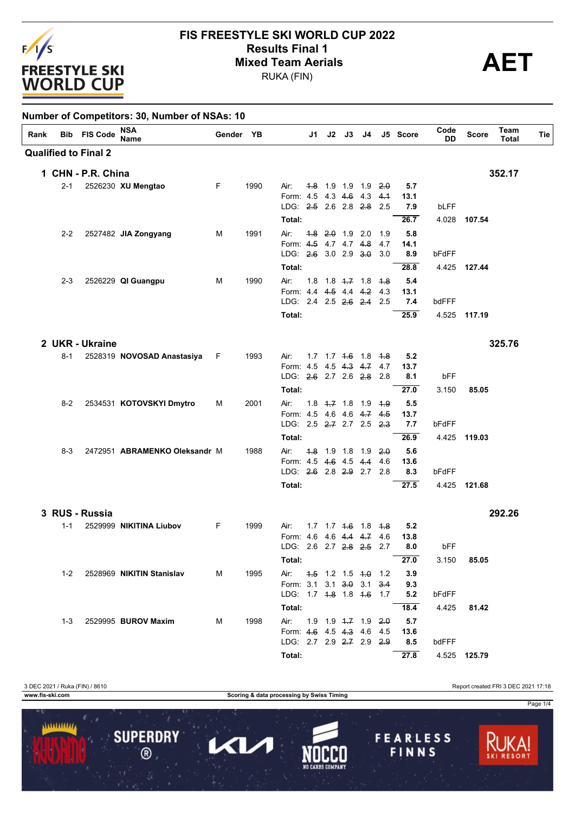

# **FIS FREESTYLE SKI WORLD CUP 2022 Results Final 1**<br>Mixed Team Aerials<br>
PUKA (FIN)

RUKA (FIN)

| Rank |         | <b>Bib FIS Code</b>         | NSA<br><b>Name</b>             | Gender YB |      |                                                       |  |                               |     | J1 J2 J3 J4 J5 Score         | Code<br>DD | <b>Score</b> | Team<br><b>Total</b> | Tie |
|------|---------|-----------------------------|--------------------------------|-----------|------|-------------------------------------------------------|--|-------------------------------|-----|------------------------------|------------|--------------|----------------------|-----|
|      |         | <b>Qualified to Final 2</b> |                                |           |      |                                                       |  |                               |     |                              |            |              |                      |     |
|      |         | 1 CHN - P.R. China          |                                |           |      |                                                       |  |                               |     |                              |            |              | 352.17               |     |
|      | $2 - 1$ |                             | 2526230 XU Mengtao             | F.        | 1990 | Air:                                                  |  | 4.8 1.9 1.9 1.9 2.0           |     | 5.7                          |            |              |                      |     |
|      |         |                             |                                |           |      | Form: 4.5 4.3 4.6 4.3                                 |  |                               | 4.1 | 13.1                         |            |              |                      |     |
|      |         |                             |                                |           |      | LDG: 2.5 2.6 2.8 2.8 2.5                              |  |                               |     | 7.9                          | bLFF       |              |                      |     |
|      |         |                             |                                |           |      | Total:                                                |  |                               |     | 26.7                         |            | 4.028 107.54 |                      |     |
|      | $2 - 2$ |                             | 2527482 JIA Zongyang           | м         | 1991 | Air:                                                  |  | $4.8$ $2.0$ 1.9 2.0           | 1.9 | 5.8                          |            |              |                      |     |
|      |         |                             |                                |           |      | Form: 4.5 4.7 4.7 4.8<br>LDG: 2.6 3.0 2.9 3.0 3.0     |  |                               | 4.7 | 14.1<br>8.9                  | bFdFF      |              |                      |     |
|      |         |                             |                                |           |      | Total:                                                |  |                               |     | 28.8                         |            | 4.425 127.44 |                      |     |
|      |         |                             |                                |           |      |                                                       |  |                               |     |                              |            |              |                      |     |
|      | 2-3     |                             | 2526229 QI Guangpu             | м         | 1990 | Air:<br>Form: 4.4 4.5 4.4 4.2 4.3                     |  | 1.8 1.8 4.7 1.8 4.8           |     | 5.4<br>13.1                  |            |              |                      |     |
|      |         |                             |                                |           |      | LDG: 2.4 2.5 2.6 2.4 2.5                              |  |                               |     | 7.4                          | bdFFF      |              |                      |     |
|      |         |                             |                                |           |      | Total:                                                |  |                               |     | 25.9                         |            | 4.525 117.19 |                      |     |
|      |         |                             |                                |           |      |                                                       |  |                               |     |                              |            |              |                      |     |
|      |         | 2 UKR - Ukraine             |                                |           |      |                                                       |  |                               |     |                              |            |              | 325.76               |     |
|      | 8-1     |                             | 2528319 NOVOSAD Anastasiya     | F.        | 1993 | Air:<br>Form: 4.5 4.5 4.3 4.7 4.7                     |  | $1.7$ $1.7$ $1.6$ $1.8$ $1.8$ |     | 5.2<br>13.7                  |            |              |                      |     |
|      |         |                             |                                |           |      | LDG: 2.6 2.7 2.6 2.8 2.8                              |  |                               |     | 8.1                          | bFF        |              |                      |     |
|      |         |                             |                                |           |      | Total:                                                |  |                               |     | 27.0                         | 3.150      | 85.05        |                      |     |
|      | $8-2$   |                             | 2534531 KOTOVSKYI Dmytro       | М         | 2001 | Air:                                                  |  | $1.8$ $4.7$ $1.8$ $1.9$       | 4.9 | 5.5                          |            |              |                      |     |
|      |         |                             |                                |           |      | Form: 4.5 4.6 4.6 4.7 4.5                             |  |                               |     | 13.7                         |            |              |                      |     |
|      |         |                             |                                |           |      | LDG: 2.5 2.7 2.7 2.5 2.3                              |  |                               |     | 7.7                          | bFdFF      |              |                      |     |
|      |         |                             |                                |           |      | Total:                                                |  |                               |     | 26.9                         | 4.425      | 119.03       |                      |     |
|      | $8-3$   |                             | 2472951 ABRAMENKO Oleksandr M  |           | 1988 | Air:                                                  |  | 4.8 1.9 1.8 1.9 2.0           |     | 5.6                          |            |              |                      |     |
|      |         |                             |                                |           |      | Form: 4.5 4.6 4.5 4.4                                 |  |                               | 4.6 | 13.6                         |            |              |                      |     |
|      |         |                             |                                |           |      | LDG: 2.6 2.8 2.9 2.7 2.8                              |  |                               |     | 8.3                          | bFdFF      |              |                      |     |
|      |         |                             |                                |           |      | Total:                                                |  |                               |     | 27.5                         |            | 4.425 121.68 |                      |     |
|      |         | 3 RUS - Russia              |                                |           |      |                                                       |  |                               |     |                              |            |              | 292.26               |     |
|      | $1 - 1$ |                             | 2529999 NIKITINA Liubov        | F.        | 1999 | Air:                                                  |  | 1.7 1.7 4.6 1.8 4.8           |     | 5.2                          |            |              |                      |     |
|      |         |                             |                                |           |      | Form: 4.6 4.6 4.4 4.7 4.6                             |  |                               |     | 13.8                         |            |              |                      |     |
|      |         |                             |                                |           |      |                                                       |  |                               |     | LDG: 2.6 2.7 2.8 2.5 2.7 8.0 | bFF        |              |                      |     |
|      |         |                             |                                |           |      | Total:                                                |  |                               |     | 27.0                         |            | 3.150 85.05  |                      |     |
|      |         |                             | 1-2 2528969 NIKITIN Stanislav  | м         | 1995 | Air: 4.5 1.2 1.5 4.0 1.2                              |  |                               |     | 3.9                          |            |              |                      |     |
|      |         |                             |                                |           |      | Form: 3.1 3.1 3.0 3.1 3.4<br>LDG: 1.7 4.8 1.8 4.6 1.7 |  |                               |     | 9.3<br>5.2                   | bFdFF      |              |                      |     |
|      |         |                             |                                |           |      | Total:                                                |  |                               |     | 18.4                         |            | 4.425 81.42  |                      |     |
|      |         |                             |                                |           |      |                                                       |  |                               |     |                              |            |              |                      |     |
|      |         |                             | 1-3 2529995 <b>BUROV Maxim</b> | м         | 1998 | Air: 1.9 1.9 4.7 1.9 2.0<br>Form: 4.6 4.5 4.3 4.6 4.5 |  |                               |     | 5.7<br>13.6                  |            |              |                      |     |
|      |         |                             |                                |           |      | LDG: 2.7 2.9 2.7 2.9 2.9                              |  |                               |     | 8.5                          | bdFFF      |              |                      |     |
|      |         |                             |                                |           |      | Total: Total:                                         |  |                               |     | 27.8                         |            | 4.525 125.79 |                      |     |

3 DEC 2021 / Ruka (FIN) / 8610<br>
www.fis-ski.com Report created FRI 3 DEC 2021 17:18 **Scoring & data processing by Swiss Timing** Page 1/41111111111 **SUPERDRY FEARLESS** П KL, FINNS  $\overline{\circ}$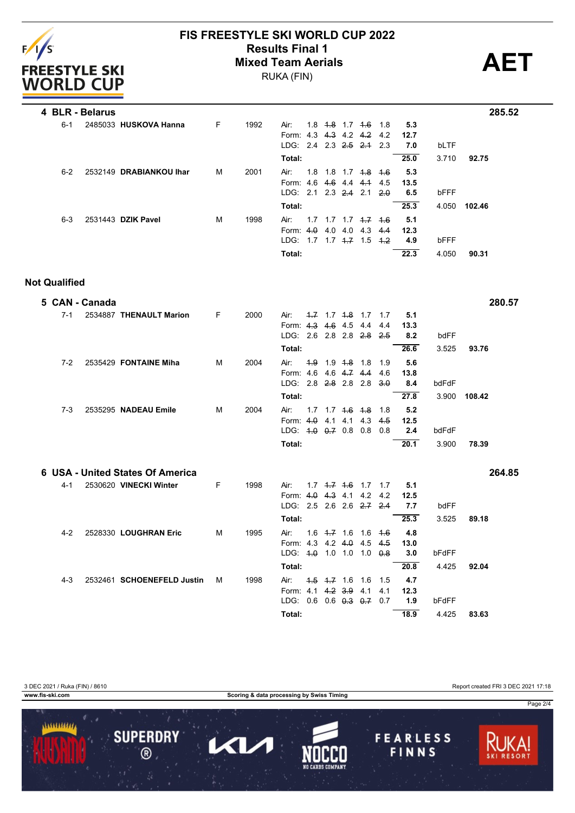

### **FIS FREESTYLE SKI WORLD CUP 2022 Mixed Team Aerials**

RUKA (FIN)

**Results Final 1 AET**

|         | 4 BLR - Belarus |                         |   |      |                                                           |     |                                  |             |                                       |                    |                    |       |        | 285.52 |
|---------|-----------------|-------------------------|---|------|-----------------------------------------------------------|-----|----------------------------------|-------------|---------------------------------------|--------------------|--------------------|-------|--------|--------|
| $6-1$   |                 | 2485033 HUSKOVA Hanna   | F | 1992 | Air:<br>Form: 4.3<br>LDG: $2.4$ $2.3$ $2.5$ $2.4$ $2.3$   | 1.8 |                                  | 4.3 4.2 4.2 | <del>1.8</del> 1.7 <del>1.6</del> 1.8 | 4.2                | 5.3<br>12.7<br>7.0 | bLTF  |        |        |
|         |                 |                         |   |      | Total:                                                    |     |                                  |             |                                       |                    | 25.0               | 3.710 | 92.75  |        |
| $6-2$   |                 | 2532149 DRABIANKOU Ihar | м | 2001 | Air:<br>Form: 4.6 4.6 4.4 4.4 4.5<br>LDG: 2.1 2.3 2.4 2.1 |     |                                  |             | $1.8$ 1.8 1.7 <del>1.8</del> 1.6      | $-2.0$             | 5.3<br>13.5<br>6.5 | bFFF  |        |        |
|         |                 |                         |   |      | Total:                                                    |     |                                  |             |                                       |                    | 25.3               | 4.050 | 102.46 |        |
| $6 - 3$ |                 | 2531443 DZIK Pavel      | м | 1998 | Air:<br>Form: $4.0$<br>$1\overline{D}G$ 17                |     | $1.7$ $1.7$ $1.7$<br>4.0 4.0 4.3 |             | $+7$<br>$1.7$ $4.7$ $1.5$             | $+6$<br>4.4<br>4.2 | 5.1<br>12.3<br>4.9 | bFFF  |        |        |
|         |                 |                         |   |      | Total:                                                    |     |                                  |             |                                       |                    | 22.3               | 4.050 | 90.31  |        |

#### **Not Qualified**

|         | 5 CAN - Canada |                                  |   |      |                                                         |                                 |                                    |                   |                           |                            |                | 280.57 |
|---------|----------------|----------------------------------|---|------|---------------------------------------------------------|---------------------------------|------------------------------------|-------------------|---------------------------|----------------------------|----------------|--------|
| $7 - 1$ |                | 2534887 THENAULT Marion          | F | 2000 | Air:<br>Form: 4.3 4.6 4.5<br>LDG: 2.6 2.8 2.8 2.8       |                                 | $1.7$ $1.7$ $1.8$ $1.7$ $1.7$      | 4.4               | 4.4<br>2.5                | 5.1<br>13.3<br>8.2         | bdFF           |        |
|         |                |                                  |   |      | Total:                                                  |                                 |                                    |                   |                           | 26.6                       | 3.525          | 93.76  |
| $7-2$   |                | 2535429 FONTAINE Miha            | м | 2004 | Air:<br>Form: 4.6                                       |                                 | 4.9 1.9 4.8 1.8 1.9<br>4.6 4.7 4.4 |                   | 4.6                       | 5.6<br>13.8                |                |        |
|         |                |                                  |   |      | LDG: 2.8 2.8 2.8 2.8                                    |                                 |                                    |                   | 3.0                       | 8.4                        | bdFdF          |        |
|         |                |                                  |   |      | Total:                                                  |                                 |                                    |                   |                           | 27.8                       | 3.900          | 108.42 |
| $7 - 3$ |                | 2535295 NADEAU Emile             | M | 2004 | Air:<br>Form: 4.0<br>LDG: 4.0 0.7 0.8                   |                                 | $1.7$ $1.7$ $4.6$ $4.8$<br>4.1 4.1 | 4.3<br>0.8        | 1.8<br>4.5<br>0.8         | 5.2<br>12.5<br>2.4         | bdFdF          |        |
|         |                |                                  |   |      | Total:                                                  |                                 |                                    |                   |                           | 20.1                       | 3.900          | 78.39  |
|         |                | 6 USA - United States Of America |   |      |                                                         |                                 |                                    |                   |                           |                            |                | 264.85 |
| $4 - 1$ |                |                                  |   |      |                                                         |                                 |                                    |                   |                           | 5.1                        |                |        |
|         |                | 2530620 VINECKI Winter           | F | 1998 | Air:<br>Form: 4.0                                       | $1.7 \t4.7 \t4.6$<br>$4.3$ 4.1  |                                    | 1.7<br>4.2        | 1.7<br>4.2                | 12.5                       |                |        |
|         |                |                                  |   |      | LDG: 2.5 2.6 2.6 2.7                                    |                                 |                                    |                   | $-2.4$                    | 7.7                        | bdFF           |        |
| $4 - 2$ |                | 2528330 LOUGHRAN Eric            | M | 1995 | Total:<br>Air:<br>Form: 4.3 4.2 4.0<br>LDG: 4.0         | $1.6 \pm 7.16$                  | $1.0$ 1.0                          | 1.6<br>4.5<br>1.0 | 4.6<br>4.5<br>$\theta$ .8 | 25.3<br>4.8<br>13.0<br>3.0 | 3.525<br>bFdFF | 89.18  |
|         |                |                                  |   |      | Total:                                                  |                                 |                                    |                   |                           | 20.8                       | 4.425          | 92.04  |
| $4 - 3$ |                | 2532461 SCHOENEFELD Justin       | м | 1998 | Air:<br>Form: 4.1<br>LDG: $0.6$ 0.6 $0.3$ 0.7<br>Total: | $4.5$ $4.7$ 1.6<br>$4.2 \, 3.9$ |                                    | 1.6<br>4.1        | 1.5<br>4.1<br>0.7         | 4.7<br>12.3<br>1.9<br>18.9 | bFdFF<br>4.425 | 83.63  |

3 DEC 2021 / Ruka (FIN) / 8610 Report created FRI 3 DEC 2021 17:18

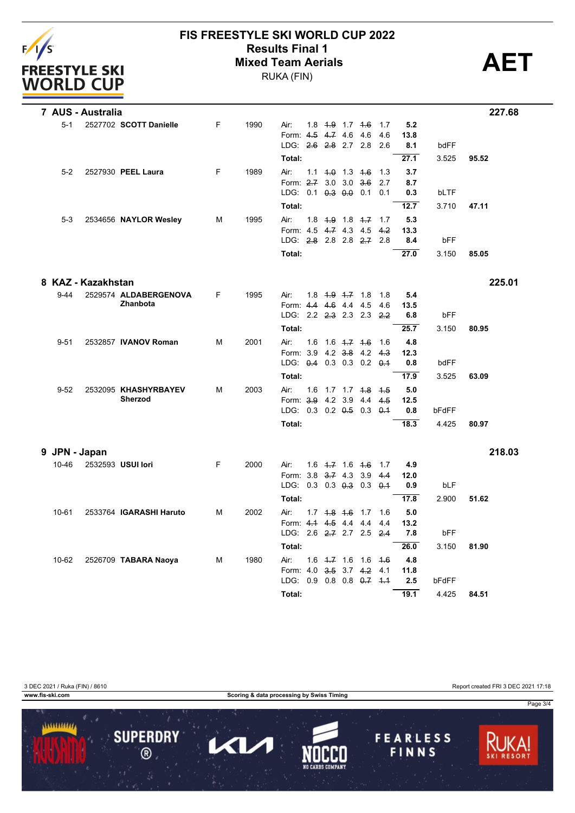

# **FIS FREESTYLE SKI WORLD CUP 2022 Results Final 1**<br>Mixed Team Aerials<br>
PUKA (FIN)

RUKA (FIN)

|          | 7 AUS - Australia  |                         |   |      |                                                   |  |                         |                                |      |             |       | 227.68 |
|----------|--------------------|-------------------------|---|------|---------------------------------------------------|--|-------------------------|--------------------------------|------|-------------|-------|--------|
| $5 - 1$  |                    | 2527702 SCOTT Danielle  | F | 1990 | Air:                                              |  | 1.8 $4.9$ 1.7 $4.6$     |                                | 1.7  | 5.2         |       |        |
|          |                    |                         |   |      | Form: 4.5 4.7 4.6 4.6                             |  |                         |                                | 4.6  | 13.8        |       |        |
|          |                    |                         |   |      | LDG: 2.6 2.8 2.7 2.8                              |  |                         |                                | 2.6  | 8.1         | bdFF  |        |
|          |                    |                         |   |      | Total:                                            |  |                         |                                |      | 27.1        | 3.525 | 95.52  |
| $5-2$    |                    | 2527930 PEEL Laura      | F | 1989 | Air:                                              |  | $1.1$ $4.0$ $1.3$ $4.6$ |                                | 1.3  | 3.7         |       |        |
|          |                    |                         |   |      | Form: 2.7 3.0 3.0 3.6                             |  |                         |                                | 2.7  | 8.7         |       |        |
|          |                    |                         |   |      | LDG: 0.1 0.3 0.0 0.1                              |  |                         |                                | 0.1  | 0.3         | bLTF  |        |
|          |                    |                         |   |      | Total:                                            |  |                         |                                |      | 12.7        | 3.710 | 47.11  |
| $5-3$    |                    | 2534656 NAYLOR Wesley   | м | 1995 | Air:                                              |  | $1.8 + 9 + 1.8 + 7$     |                                | 1.7  | 5.3         |       |        |
|          |                    |                         |   |      | Form: 4.5 4.7 4.3 4.5<br>LDG: 2.8 2.8 2.8 2.7 2.8 |  |                         |                                | 4.2  | 13.3        |       |        |
|          |                    |                         |   |      |                                                   |  |                         |                                |      | 8.4         | bFF   |        |
|          |                    |                         |   |      | Total:                                            |  |                         |                                |      | 27.0        | 3.150 | 85.05  |
|          | 8 KAZ - Kazakhstan |                         |   |      |                                                   |  |                         |                                |      |             |       | 225.01 |
| $9 - 44$ |                    | 2529574 ALDABERGENOVA   | F | 1995 | Air:                                              |  | $1.8$ $1.9$ $1.7$ $1.8$ |                                | 1.8  | 5.4         |       |        |
|          |                    | Zhanbota                |   |      | Form: 4.4 4.6 4.4 4.5                             |  |                         |                                | -4.6 | 13.5        |       |        |
|          |                    |                         |   |      | LDG: 2.2 2.3 2.3 2.3 2.2                          |  |                         |                                |      | 6.8         | bFF   |        |
|          |                    |                         |   |      | Total:                                            |  |                         |                                |      | 25.7        | 3.150 | 80.95  |
| $9 - 51$ |                    | 2532857 IVANOV Roman    | м | 2001 | Air:                                              |  |                         | 1.6 1.6 4.7 4.6 1.6            |      | 4.8         |       |        |
|          |                    |                         |   |      | Form: 3.9 4.2 3.8 4.2 4.3                         |  |                         |                                |      | 12.3        |       |        |
|          |                    |                         |   |      | LDG: 0.4 0.3 0.3 0.2 0.1                          |  |                         |                                |      | 0.8         | bdFF  |        |
|          |                    |                         |   |      | Total:                                            |  |                         |                                |      | 17.9        | 3.525 | 63.09  |
| $9 - 52$ |                    | 2532095 KHASHYRBAYEV    | м | 2003 | Air:                                              |  |                         | 1.6 1.7 1.7 <del>1.8</del> 1.5 |      | 5.0         |       |        |
|          |                    | <b>Sherzod</b>          |   |      | Form: 3.9 4.2 3.9 4.4                             |  |                         |                                | 4.5  | 12.5        |       |        |
|          |                    |                         |   |      | LDG: 0.3 0.2 0.5 0.3 0.1                          |  |                         |                                |      | 0.8         | bFdFF |        |
|          |                    |                         |   |      | Total:                                            |  |                         |                                |      | 18.3        | 4.425 | 80.97  |
|          | 9 JPN - Japan      |                         |   |      |                                                   |  |                         |                                |      |             |       | 218.03 |
| 10-46    |                    | 2532593 USUI lori       | F | 2000 | Air:                                              |  | $1.6 \t4.7 \t16 \t4.6$  |                                | 1.7  | 4.9         |       |        |
|          |                    |                         |   |      | Form: 3.8 3.7 4.3 3.9                             |  |                         |                                | 4.4  | 12.0        |       |        |
|          |                    |                         |   |      | LDG: $0.3$ $0.3$ $0.3$ $0.3$ $0.3$ $0.4$          |  |                         |                                |      | 0.9         | bLF   |        |
|          |                    |                         |   |      | Total:                                            |  |                         |                                |      | 17.8        | 2.900 | 51.62  |
| 10-61    |                    | 2533764 IGARASHI Haruto | М | 2002 | Air:                                              |  | $1.7$ $1.8$ $1.6$ $1.7$ |                                | 1.6  | 5.0         |       |        |
|          |                    |                         |   |      | Form: 4.1 4.5 4.4 4.4                             |  |                         |                                | 4.4  | 13.2        |       |        |
|          |                    |                         |   |      | LDG: 2.6 2.7 2.7 2.5 2.4                          |  |                         |                                |      | 7.8         | bFF   |        |
|          |                    |                         |   |      | Total:                                            |  |                         |                                |      | 26.0        | 3.150 | 81.90  |
| 10-62    |                    | 2526709 TABARA Naoya    | М | 1980 | Air:                                              |  |                         | $1.6$ $1.7$ $1.6$ $1.6$ $1.6$  |      | 4.8         |       |        |
|          |                    |                         |   |      | Form: 4.0 3.5 3.7 4.2<br>LDG:                     |  |                         | $0.9$ 0.8 0.8 0.7 4.4          | 4.1  | 11.8<br>2.5 | bFdFF |        |
|          |                    |                         |   |      |                                                   |  |                         |                                |      |             |       |        |
|          |                    |                         |   |      | Total:                                            |  |                         |                                |      | 19.1        | 4.425 | 84.51  |

3 DEC 2021 / Ruka (FIN) / 8610<br>
www.fis-ski.com Report created FRI 3 DEC 2021 17:18

**Scoring & data processing by Swiss Timing**